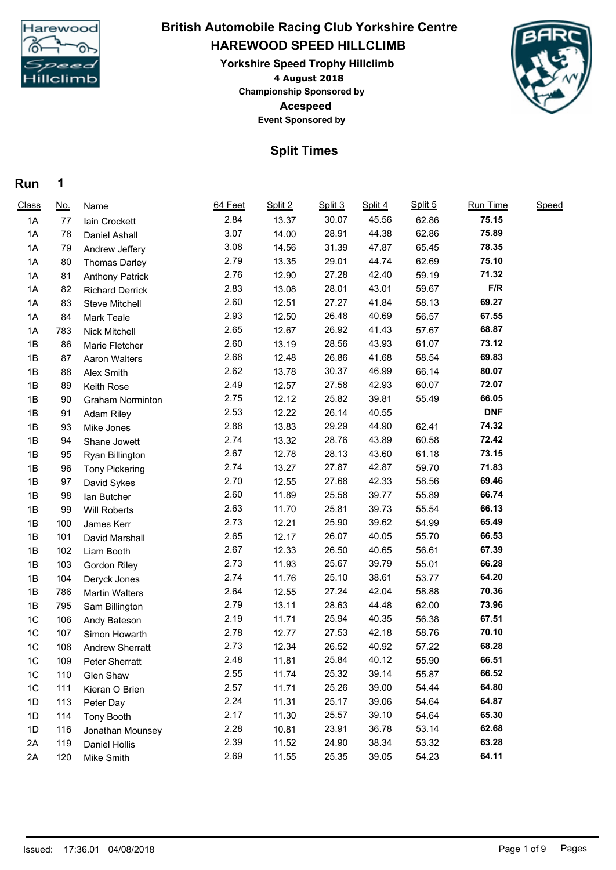

## **4 August 2018 HAREWOOD SPEED HILLCLIMB Yorkshire Speed Trophy Hillclimb British Automobile Racing Club Yorkshire Centre**

**Acespeed Event Sponsored by Championship Sponsored by**



## **Split Times**

## **Run 1**

| Class          | <u>No.</u> | <b>Name</b>             | 64 Feet | Split 2 | Split 3 | Split 4 | Split 5 | Run Time   | Speed |  |
|----------------|------------|-------------------------|---------|---------|---------|---------|---------|------------|-------|--|
| 1A             | 77         | Iain Crockett           | 2.84    | 13.37   | 30.07   | 45.56   | 62.86   | 75.15      |       |  |
| 1A             | 78         | Daniel Ashall           | 3.07    | 14.00   | 28.91   | 44.38   | 62.86   | 75.89      |       |  |
| 1A             | 79         | Andrew Jeffery          | 3.08    | 14.56   | 31.39   | 47.87   | 65.45   | 78.35      |       |  |
| 1A             | 80         | <b>Thomas Darley</b>    | 2.79    | 13.35   | 29.01   | 44.74   | 62.69   | 75.10      |       |  |
| 1A             | 81         | <b>Anthony Patrick</b>  | 2.76    | 12.90   | 27.28   | 42.40   | 59.19   | 71.32      |       |  |
| 1A             | 82         | <b>Richard Derrick</b>  | 2.83    | 13.08   | 28.01   | 43.01   | 59.67   | F/R        |       |  |
| 1A             | 83         | Steve Mitchell          | 2.60    | 12.51   | 27.27   | 41.84   | 58.13   | 69.27      |       |  |
| 1A             | 84         | Mark Teale              | 2.93    | 12.50   | 26.48   | 40.69   | 56.57   | 67.55      |       |  |
| 1A             | 783        | Nick Mitchell           | 2.65    | 12.67   | 26.92   | 41.43   | 57.67   | 68.87      |       |  |
| 1B             | 86         | Marie Fletcher          | 2.60    | 13.19   | 28.56   | 43.93   | 61.07   | 73.12      |       |  |
| 1B             | 87         | Aaron Walters           | 2.68    | 12.48   | 26.86   | 41.68   | 58.54   | 69.83      |       |  |
| 1B             | 88         | Alex Smith              | 2.62    | 13.78   | 30.37   | 46.99   | 66.14   | 80.07      |       |  |
| 1B             | 89         | Keith Rose              | 2.49    | 12.57   | 27.58   | 42.93   | 60.07   | 72.07      |       |  |
| 1B             | 90         | <b>Graham Norminton</b> | 2.75    | 12.12   | 25.82   | 39.81   | 55.49   | 66.05      |       |  |
| 1B             | 91         | Adam Riley              | 2.53    | 12.22   | 26.14   | 40.55   |         | <b>DNF</b> |       |  |
| 1B             | 93         | Mike Jones              | 2.88    | 13.83   | 29.29   | 44.90   | 62.41   | 74.32      |       |  |
| 1B             | 94         | Shane Jowett            | 2.74    | 13.32   | 28.76   | 43.89   | 60.58   | 72.42      |       |  |
| 1B             | 95         | Ryan Billington         | 2.67    | 12.78   | 28.13   | 43.60   | 61.18   | 73.15      |       |  |
| 1B             | 96         | <b>Tony Pickering</b>   | 2.74    | 13.27   | 27.87   | 42.87   | 59.70   | 71.83      |       |  |
| 1B             | 97         | David Sykes             | 2.70    | 12.55   | 27.68   | 42.33   | 58.56   | 69.46      |       |  |
| 1B             | 98         | lan Butcher             | 2.60    | 11.89   | 25.58   | 39.77   | 55.89   | 66.74      |       |  |
| 1B             | 99         | Will Roberts            | 2.63    | 11.70   | 25.81   | 39.73   | 55.54   | 66.13      |       |  |
| 1B             | 100        | James Kerr              | 2.73    | 12.21   | 25.90   | 39.62   | 54.99   | 65.49      |       |  |
| 1B             | 101        | David Marshall          | 2.65    | 12.17   | 26.07   | 40.05   | 55.70   | 66.53      |       |  |
| 1B             | 102        | Liam Booth              | 2.67    | 12.33   | 26.50   | 40.65   | 56.61   | 67.39      |       |  |
| 1B             | 103        | Gordon Riley            | 2.73    | 11.93   | 25.67   | 39.79   | 55.01   | 66.28      |       |  |
| 1B             | 104        | Deryck Jones            | 2.74    | 11.76   | 25.10   | 38.61   | 53.77   | 64.20      |       |  |
| 1B             | 786        | <b>Martin Walters</b>   | 2.64    | 12.55   | 27.24   | 42.04   | 58.88   | 70.36      |       |  |
| 1B             | 795        | Sam Billington          | 2.79    | 13.11   | 28.63   | 44.48   | 62.00   | 73.96      |       |  |
| 1 <sup>C</sup> | 106        | Andy Bateson            | 2.19    | 11.71   | 25.94   | 40.35   | 56.38   | 67.51      |       |  |
| 1 <sup>C</sup> | 107        | Simon Howarth           | 2.78    | 12.77   | 27.53   | 42.18   | 58.76   | 70.10      |       |  |
| 1 <sup>C</sup> | 108        | <b>Andrew Sherratt</b>  | 2.73    | 12.34   | 26.52   | 40.92   | 57.22   | 68.28      |       |  |
| 1C             | 109        | Peter Sherratt          | 2.48    | 11.81   | 25.84   | 40.12   | 55.90   | 66.51      |       |  |
| 1C             | 110        | Glen Shaw               | 2.55    | 11.74   | 25.32   | 39.14   | 55.87   | 66.52      |       |  |
| 1C             | 111        | Kieran O Brien          | 2.57    | 11.71   | 25.26   | 39.00   | 54.44   | 64.80      |       |  |
| 1D             | 113        | Peter Day               | 2.24    | 11.31   | 25.17   | 39.06   | 54.64   | 64.87      |       |  |
| 1D             | 114        | Tony Booth              | 2.17    | 11.30   | 25.57   | 39.10   | 54.64   | 65.30      |       |  |
| 1D             | 116        | Jonathan Mounsey        | 2.28    | 10.81   | 23.91   | 36.78   | 53.14   | 62.68      |       |  |
| 2A             | 119        | Daniel Hollis           | 2.39    | 11.52   | 24.90   | 38.34   | 53.32   | 63.28      |       |  |
| 2A             | 120        | Mike Smith              | 2.69    | 11.55   | 25.35   | 39.05   | 54.23   | 64.11      |       |  |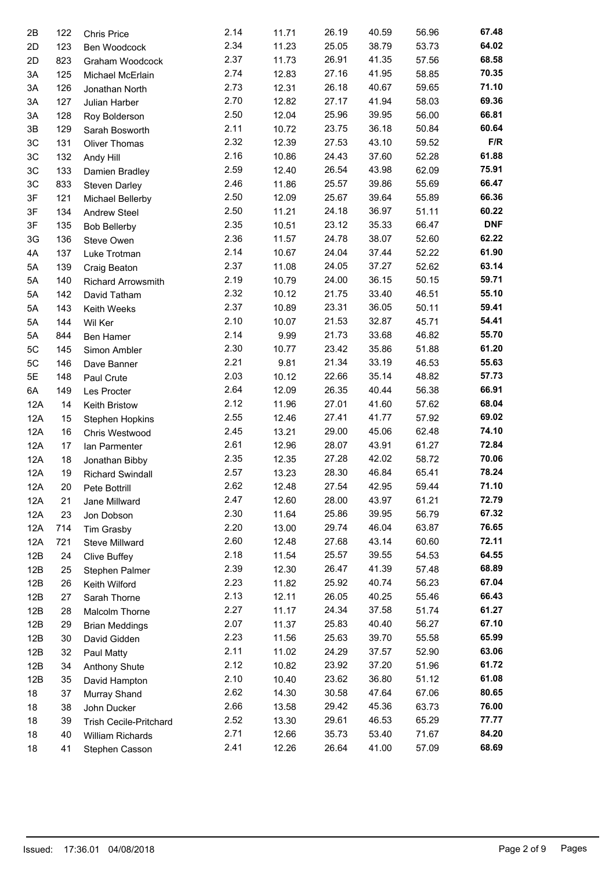| 2B            | 122 | <b>Chris Price</b>            | 2.14 | 11.71 | 26.19 | 40.59 | 56.96 | 67.48      |
|---------------|-----|-------------------------------|------|-------|-------|-------|-------|------------|
| 2D            | 123 | Ben Woodcock                  | 2.34 | 11.23 | 25.05 | 38.79 | 53.73 | 64.02      |
| 2D            | 823 | Graham Woodcock               | 2.37 | 11.73 | 26.91 | 41.35 | 57.56 | 68.58      |
| ЗA            | 125 | Michael McErlain              | 2.74 | 12.83 | 27.16 | 41.95 | 58.85 | 70.35      |
| 3A            | 126 | Jonathan North                | 2.73 | 12.31 | 26.18 | 40.67 | 59.65 | 71.10      |
| 3A            | 127 | Julian Harber                 | 2.70 | 12.82 | 27.17 | 41.94 | 58.03 | 69.36      |
| 3A            | 128 | Roy Bolderson                 | 2.50 | 12.04 | 25.96 | 39.95 | 56.00 | 66.81      |
| 3B            | 129 | Sarah Bosworth                | 2.11 | 10.72 | 23.75 | 36.18 | 50.84 | 60.64      |
| $3\mathrm{C}$ | 131 | Oliver Thomas                 | 2.32 | 12.39 | 27.53 | 43.10 | 59.52 | F/R        |
| 3C            | 132 | Andy Hill                     | 2.16 | 10.86 | 24.43 | 37.60 | 52.28 | 61.88      |
| 3C            | 133 | Damien Bradley                | 2.59 | 12.40 | 26.54 | 43.98 | 62.09 | 75.91      |
| 3C            | 833 | Steven Darley                 | 2.46 | 11.86 | 25.57 | 39.86 | 55.69 | 66.47      |
| 3F            | 121 |                               | 2.50 | 12.09 | 25.67 | 39.64 | 55.89 | 66.36      |
| 3F            | 134 | Michael Bellerby              | 2.50 | 11.21 | 24.18 | 36.97 | 51.11 | 60.22      |
|               |     | Andrew Steel                  | 2.35 | 10.51 | 23.12 | 35.33 | 66.47 | <b>DNF</b> |
| 3F            | 135 | <b>Bob Bellerby</b>           | 2.36 |       | 24.78 | 38.07 |       | 62.22      |
| 3G            | 136 | Steve Owen                    |      | 11.57 |       |       | 52.60 | 61.90      |
| 4A            | 137 | Luke Trotman                  | 2.14 | 10.67 | 24.04 | 37.44 | 52.22 |            |
| 5A            | 139 | Craig Beaton                  | 2.37 | 11.08 | 24.05 | 37.27 | 52.62 | 63.14      |
| 5A            | 140 | Richard Arrowsmith            | 2.19 | 10.79 | 24.00 | 36.15 | 50.15 | 59.71      |
| 5A            | 142 | David Tatham                  | 2.32 | 10.12 | 21.75 | 33.40 | 46.51 | 55.10      |
| 5A            | 143 | Keith Weeks                   | 2.37 | 10.89 | 23.31 | 36.05 | 50.11 | 59.41      |
| 5A            | 144 | Wil Ker                       | 2.10 | 10.07 | 21.53 | 32.87 | 45.71 | 54.41      |
| 5A            | 844 | Ben Hamer                     | 2.14 | 9.99  | 21.73 | 33.68 | 46.82 | 55.70      |
| 5C            | 145 | Simon Ambler                  | 2.30 | 10.77 | 23.42 | 35.86 | 51.88 | 61.20      |
| 5C            | 146 | Dave Banner                   | 2.21 | 9.81  | 21.34 | 33.19 | 46.53 | 55.63      |
| 5E            | 148 | Paul Crute                    | 2.03 | 10.12 | 22.66 | 35.14 | 48.82 | 57.73      |
| 6A            | 149 | Les Procter                   | 2.64 | 12.09 | 26.35 | 40.44 | 56.38 | 66.91      |
| 12A           | 14  | Keith Bristow                 | 2.12 | 11.96 | 27.01 | 41.60 | 57.62 | 68.04      |
| 12A           | 15  | Stephen Hopkins               | 2.55 | 12.46 | 27.41 | 41.77 | 57.92 | 69.02      |
| 12A           | 16  | Chris Westwood                | 2.45 | 13.21 | 29.00 | 45.06 | 62.48 | 74.10      |
| 12A           | 17  | Ian Parmenter                 | 2.61 | 12.96 | 28.07 | 43.91 | 61.27 | 72.84      |
| 12A           | 18  |                               | 2.35 | 12.35 | 27.28 | 42.02 | 58.72 | 70.06      |
| 12A           | 19  | Jonathan Bibby                | 2.57 | 13.23 | 28.30 | 46.84 | 65.41 | 78.24      |
|               |     | <b>Richard Swindall</b>       | 2.62 |       |       |       |       | 71.10      |
| 12A           | 20  | Pete Bottrill                 |      | 12.48 | 27.54 | 42.95 | 59.44 | 72.79      |
| 12A           | 21  | Jane Millward                 | 2.47 | 12.60 | 28.00 | 43.97 | 61.21 |            |
| 12A           | 23  | Jon Dobson                    | 2.30 | 11.64 | 25.86 | 39.95 | 56.79 | 67.32      |
| 12A           | 714 | Tim Grasby                    | 2.20 | 13.00 | 29.74 | 46.04 | 63.87 | 76.65      |
| 12A           | 721 | Steve Millward                | 2.60 | 12.48 | 27.68 | 43.14 | 60.60 | 72.11      |
| 12B           | 24  | <b>Clive Buffey</b>           | 2.18 | 11.54 | 25.57 | 39.55 | 54.53 | 64.55      |
| 12B           | 25  | Stephen Palmer                | 2.39 | 12.30 | 26.47 | 41.39 | 57.48 | 68.89      |
| 12B           | 26  | Keith Wilford                 | 2.23 | 11.82 | 25.92 | 40.74 | 56.23 | 67.04      |
| 12B           | 27  | Sarah Thorne                  | 2.13 | 12.11 | 26.05 | 40.25 | 55.46 | 66.43      |
| 12B           | 28  | Malcolm Thorne                | 2.27 | 11.17 | 24.34 | 37.58 | 51.74 | 61.27      |
| 12B           | 29  | <b>Brian Meddings</b>         | 2.07 | 11.37 | 25.83 | 40.40 | 56.27 | 67.10      |
| 12B           | 30  | David Gidden                  | 2.23 | 11.56 | 25.63 | 39.70 | 55.58 | 65.99      |
| 12B           | 32  | Paul Matty                    | 2.11 | 11.02 | 24.29 | 37.57 | 52.90 | 63.06      |
| 12B           | 34  | Anthony Shute                 | 2.12 | 10.82 | 23.92 | 37.20 | 51.96 | 61.72      |
| 12B           | 35  | David Hampton                 | 2.10 | 10.40 | 23.62 | 36.80 | 51.12 | 61.08      |
| 18            | 37  |                               | 2.62 | 14.30 | 30.58 | 47.64 | 67.06 | 80.65      |
|               |     | Murray Shand                  | 2.66 | 13.58 | 29.42 | 45.36 | 63.73 | 76.00      |
| 18            | 38  | John Ducker                   |      |       |       |       |       | 77.77      |
| 18            | 39  | <b>Trish Cecile-Pritchard</b> | 2.52 | 13.30 | 29.61 | 46.53 | 65.29 |            |
| 18            | 40  | William Richards              | 2.71 | 12.66 | 35.73 | 53.40 | 71.67 | 84.20      |
| 18            | 41  | Stephen Casson                | 2.41 | 12.26 | 26.64 | 41.00 | 57.09 | 68.69      |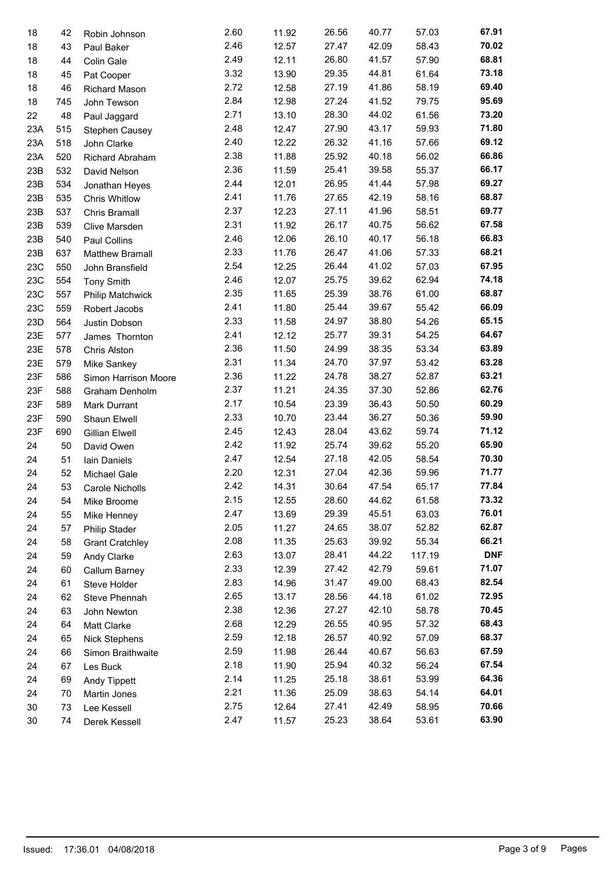| 18  | 42  | Robin Johnson          | 2.60 | 11.92 | 26.56 | 40.77 | 57.03  | 67.91      |
|-----|-----|------------------------|------|-------|-------|-------|--------|------------|
| 18  | 43  | Paul Baker             | 2.46 | 12.57 | 27.47 | 42.09 | 58.43  | 70.02      |
| 18  | 44  | Colin Gale             | 2.49 | 12.11 | 26.80 | 41.57 | 57.90  | 68.81      |
| 18  | 45  | Pat Cooper             | 3.32 | 13.90 | 29.35 | 44.81 | 61.64  | 73.18      |
| 18  | 46  | Richard Mason          | 2.72 | 12.58 | 27.19 | 41.86 | 58.19  | 69.40      |
| 18  | 745 | John Tewson            | 2.84 | 12.98 | 27.24 | 41.52 | 79.75  | 95.69      |
| 22  | 48  | Paul Jaggard           | 2.71 | 13.10 | 28.30 | 44.02 | 61.56  | 73.20      |
| 23A | 515 | Stephen Causey         | 2.48 | 12.47 | 27.90 | 43.17 | 59.93  | 71.80      |
| 23A | 518 | John Clarke            | 2.40 | 12.22 | 26.32 | 41.16 | 57.66  | 69.12      |
| 23A | 520 | Richard Abraham        | 2.38 | 11.88 | 25.92 | 40.18 | 56.02  | 66.86      |
| 23B | 532 | David Nelson           | 2.36 | 11.59 | 25.41 | 39.58 | 55.37  | 66.17      |
| 23B | 534 | Jonathan Heyes         | 2.44 | 12.01 | 26.95 | 41.44 | 57.98  | 69.27      |
| 23B | 535 | <b>Chris Whitlow</b>   | 2.41 | 11.76 | 27.65 | 42.19 | 58.16  | 68.87      |
| 23B | 537 | Chris Bramall          | 2.37 | 12.23 | 27.11 | 41.96 | 58.51  | 69.77      |
| 23B | 539 | Clive Marsden          | 2.31 | 11.92 | 26.17 | 40.75 | 56.62  | 67.58      |
| 23B | 540 | Paul Collins           | 2.46 | 12.06 | 26.10 | 40.17 | 56.18  | 66.83      |
| 23B | 637 | Matthew Bramall        | 2.33 | 11.76 | 26.47 | 41.06 | 57.33  | 68.21      |
| 23C | 550 | John Bransfield        | 2.54 | 12.25 | 26.44 | 41.02 | 57.03  | 67.95      |
| 23C | 554 | <b>Tony Smith</b>      | 2.46 | 12.07 | 25.75 | 39.62 | 62.94  | 74.18      |
| 23C | 557 | Philip Matchwick       | 2.35 | 11.65 | 25.39 | 38.76 | 61.00  | 68.87      |
| 23C | 559 | Robert Jacobs          | 2.41 | 11.80 | 25.44 | 39.67 | 55.42  | 66.09      |
| 23D | 564 | Justin Dobson          | 2.33 | 11.58 | 24.97 | 38.80 | 54.26  | 65.15      |
| 23E | 577 | James Thornton         | 2.41 | 12.12 | 25.77 | 39.31 | 54.25  | 64.67      |
| 23E | 578 | Chris Alston           | 2.36 | 11.50 | 24.99 | 38.35 | 53.34  | 63.89      |
| 23E | 579 | Mike Sankey            | 2.31 | 11.34 | 24.70 | 37.97 | 53.42  | 63.28      |
| 23F | 586 | Simon Harrison Moore   | 2.36 | 11.22 | 24.78 | 38.27 | 52.87  | 63.21      |
| 23F | 588 | Graham Denholm         | 2.37 | 11.21 | 24.35 | 37.30 | 52.86  | 62.76      |
| 23F | 589 | Mark Durrant           | 2.17 | 10.54 | 23.39 | 36.43 | 50.50  | 60.29      |
| 23F | 590 | Shaun Elwell           | 2.33 | 10.70 | 23.44 | 36.27 | 50.36  | 59.90      |
| 23F | 690 | Gillian Elwell         | 2.45 | 12.43 | 28.04 | 43.62 | 59.74  | 71.12      |
| 24  | 50  | David Owen             | 2.42 | 11.92 | 25.74 | 39.62 | 55.20  | 65.90      |
| 24  | 51  | Iain Daniels           | 2.47 | 12.54 | 27.18 | 42.05 | 58.54  | 70.30      |
| 24  | 52  | Michael Gale           | 2.20 | 12.31 | 27.04 | 42.36 | 59.96  | 71.77      |
| 24  | 53  | Carole Nicholls        | 2.42 | 14.31 | 30.64 | 47.54 | 65.17  | 77.84      |
| 24  | 54  | Mike Broome            | 2.15 | 12.55 | 28.60 | 44.62 | 61.58  | 73.32      |
| 24  | 55  | Mike Henney            | 2.47 | 13.69 | 29.39 | 45.51 | 63.03  | 76.01      |
| 24  | 57  | <b>Philip Stader</b>   | 2.05 | 11.27 | 24.65 | 38.07 | 52.82  | 62.87      |
| 24  | 58  | <b>Grant Cratchley</b> | 2.08 | 11.35 | 25.63 | 39.92 | 55.34  | 66.21      |
| 24  | 59  | Andy Clarke            | 2.63 | 13.07 | 28.41 | 44.22 | 117.19 | <b>DNF</b> |
| 24  | 60  | Callum Barney          | 2.33 | 12.39 | 27.42 | 42.79 | 59.61  | 71.07      |
| 24  | 61  | Steve Holder           | 2.83 | 14.96 | 31.47 | 49.00 | 68.43  | 82.54      |
| 24  | 62  | Steve Phennah          | 2.65 | 13.17 | 28.56 | 44.18 | 61.02  | 72.95      |
| 24  | 63  | John Newton            | 2.38 | 12.36 | 27.27 | 42.10 | 58.78  | 70.45      |
| 24  | 64  | Matt Clarke            | 2.68 | 12.29 | 26.55 | 40.95 | 57.32  | 68.43      |
| 24  | 65  | <b>Nick Stephens</b>   | 2.59 | 12.18 | 26.57 | 40.92 | 57.09  | 68.37      |
| 24  | 66  | Simon Braithwaite      | 2.59 | 11.98 | 26.44 | 40.67 | 56.63  | 67.59      |
| 24  | 67  | Les Buck               | 2.18 | 11.90 | 25.94 | 40.32 | 56.24  | 67.54      |
| 24  | 69  | Andy Tippett           | 2.14 | 11.25 | 25.18 | 38.61 | 53.99  | 64.36      |
| 24  | 70  | Martin Jones           | 2.21 | 11.36 | 25.09 | 38.63 | 54.14  | 64.01      |
| 30  | 73  | Lee Kessell            | 2.75 | 12.64 | 27.41 | 42.49 | 58.95  | 70.66      |
| 30  | 74  | Derek Kessell          | 2.47 | 11.57 | 25.23 | 38.64 | 53.61  | 63.90      |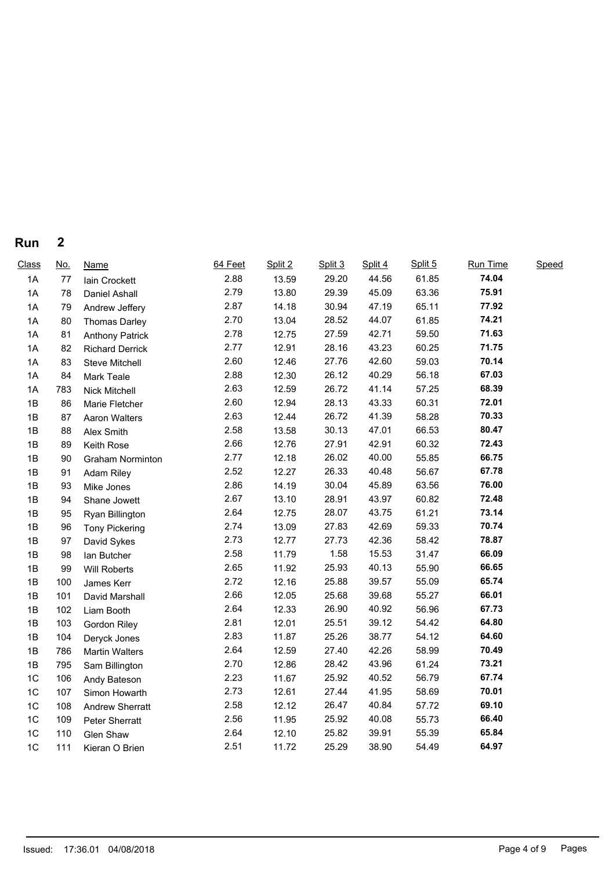|  | Run | Λ |  |  |  |  |  |  |  |  |  |
|--|-----|---|--|--|--|--|--|--|--|--|--|
|--|-----|---|--|--|--|--|--|--|--|--|--|

| Class          | <u>No.</u> | <b>Name</b>            | 64 Feet | Split 2 | Split 3 | Split 4 | Split 5 | Run Time | Speed |  |
|----------------|------------|------------------------|---------|---------|---------|---------|---------|----------|-------|--|
| 1A             | 77         | Iain Crockett          | 2.88    | 13.59   | 29.20   | 44.56   | 61.85   | 74.04    |       |  |
| 1A             | 78         | Daniel Ashall          | 2.79    | 13.80   | 29.39   | 45.09   | 63.36   | 75.91    |       |  |
| 1A             | 79         | Andrew Jeffery         | 2.87    | 14.18   | 30.94   | 47.19   | 65.11   | 77.92    |       |  |
| 1A             | 80         | Thomas Darley          | 2.70    | 13.04   | 28.52   | 44.07   | 61.85   | 74.21    |       |  |
| 1A             | 81         | <b>Anthony Patrick</b> | 2.78    | 12.75   | 27.59   | 42.71   | 59.50   | 71.63    |       |  |
| 1A             | 82         | <b>Richard Derrick</b> | 2.77    | 12.91   | 28.16   | 43.23   | 60.25   | 71.75    |       |  |
| 1A             | 83         | Steve Mitchell         | 2.60    | 12.46   | 27.76   | 42.60   | 59.03   | 70.14    |       |  |
| 1A             | 84         | Mark Teale             | 2.88    | 12.30   | 26.12   | 40.29   | 56.18   | 67.03    |       |  |
| 1A             | 783        | Nick Mitchell          | 2.63    | 12.59   | 26.72   | 41.14   | 57.25   | 68.39    |       |  |
| 1B             | 86         | Marie Fletcher         | 2.60    | 12.94   | 28.13   | 43.33   | 60.31   | 72.01    |       |  |
| 1B             | 87         | Aaron Walters          | 2.63    | 12.44   | 26.72   | 41.39   | 58.28   | 70.33    |       |  |
| 1B             | 88         | Alex Smith             | 2.58    | 13.58   | 30.13   | 47.01   | 66.53   | 80.47    |       |  |
| 1B             | 89         | Keith Rose             | 2.66    | 12.76   | 27.91   | 42.91   | 60.32   | 72.43    |       |  |
| 1B             | 90         | Graham Norminton       | 2.77    | 12.18   | 26.02   | 40.00   | 55.85   | 66.75    |       |  |
| 1B             | 91         | Adam Riley             | 2.52    | 12.27   | 26.33   | 40.48   | 56.67   | 67.78    |       |  |
| 1B             | 93         | Mike Jones             | 2.86    | 14.19   | 30.04   | 45.89   | 63.56   | 76.00    |       |  |
| 1B             | 94         | Shane Jowett           | 2.67    | 13.10   | 28.91   | 43.97   | 60.82   | 72.48    |       |  |
| 1B             | 95         | Ryan Billington        | 2.64    | 12.75   | 28.07   | 43.75   | 61.21   | 73.14    |       |  |
| 1B             | 96         | <b>Tony Pickering</b>  | 2.74    | 13.09   | 27.83   | 42.69   | 59.33   | 70.74    |       |  |
| 1B             | 97         | David Sykes            | 2.73    | 12.77   | 27.73   | 42.36   | 58.42   | 78.87    |       |  |
| 1B             | 98         | Ian Butcher            | 2.58    | 11.79   | 1.58    | 15.53   | 31.47   | 66.09    |       |  |
| 1B             | 99         | Will Roberts           | 2.65    | 11.92   | 25.93   | 40.13   | 55.90   | 66.65    |       |  |
| 1B             | 100        | James Kerr             | 2.72    | 12.16   | 25.88   | 39.57   | 55.09   | 65.74    |       |  |
| 1B             | 101        | David Marshall         | 2.66    | 12.05   | 25.68   | 39.68   | 55.27   | 66.01    |       |  |
| 1B             | 102        | Liam Booth             | 2.64    | 12.33   | 26.90   | 40.92   | 56.96   | 67.73    |       |  |
| 1B             | 103        | Gordon Riley           | 2.81    | 12.01   | 25.51   | 39.12   | 54.42   | 64.80    |       |  |
| 1B             | 104        | Deryck Jones           | 2.83    | 11.87   | 25.26   | 38.77   | 54.12   | 64.60    |       |  |
| 1B             | 786        | <b>Martin Walters</b>  | 2.64    | 12.59   | 27.40   | 42.26   | 58.99   | 70.49    |       |  |
| 1B             | 795        | Sam Billington         | 2.70    | 12.86   | 28.42   | 43.96   | 61.24   | 73.21    |       |  |
| 1 <sub>C</sub> | 106        | Andy Bateson           | 2.23    | 11.67   | 25.92   | 40.52   | 56.79   | 67.74    |       |  |
| 1 <sup>C</sup> | 107        | Simon Howarth          | 2.73    | 12.61   | 27.44   | 41.95   | 58.69   | 70.01    |       |  |
| 1 <sup>C</sup> | 108        | <b>Andrew Sherratt</b> | 2.58    | 12.12   | 26.47   | 40.84   | 57.72   | 69.10    |       |  |
| 1 <sup>C</sup> | 109        | Peter Sherratt         | 2.56    | 11.95   | 25.92   | 40.08   | 55.73   | 66.40    |       |  |
| 1C             | 110        | Glen Shaw              | 2.64    | 12.10   | 25.82   | 39.91   | 55.39   | 65.84    |       |  |
| 1 <sup>C</sup> | 111        | Kieran O Brien         | 2.51    | 11.72   | 25.29   | 38.90   | 54.49   | 64.97    |       |  |
|                |            |                        |         |         |         |         |         |          |       |  |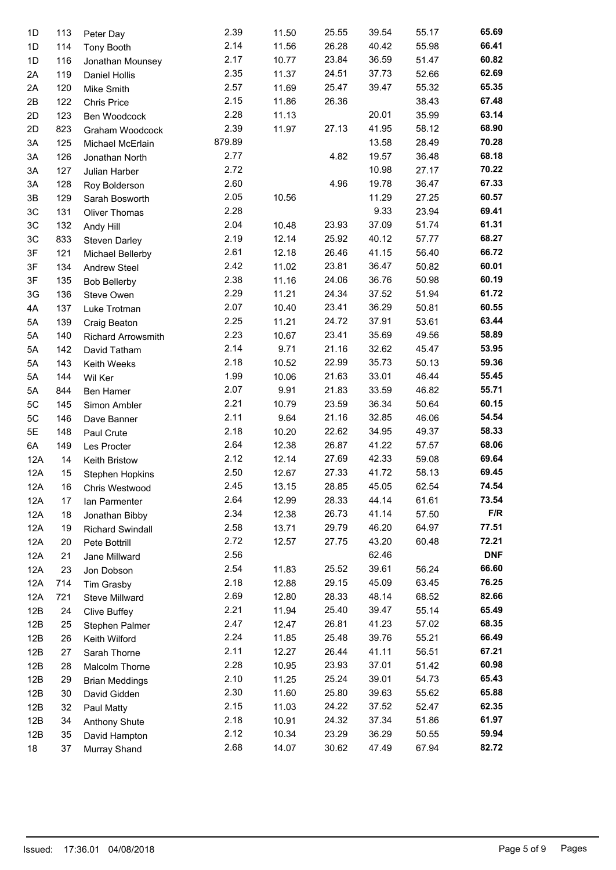| 1D  | 113 | Peter Day                 | 2.39   | 11.50 | 25.55 | 39.54 | 55.17 | 65.69      |
|-----|-----|---------------------------|--------|-------|-------|-------|-------|------------|
| 1D  | 114 | Tony Booth                | 2.14   | 11.56 | 26.28 | 40.42 | 55.98 | 66.41      |
| 1D  | 116 | Jonathan Mounsey          | 2.17   | 10.77 | 23.84 | 36.59 | 51.47 | 60.82      |
| 2A  | 119 | Daniel Hollis             | 2.35   | 11.37 | 24.51 | 37.73 | 52.66 | 62.69      |
| 2A  | 120 | Mike Smith                | 2.57   | 11.69 | 25.47 | 39.47 | 55.32 | 65.35      |
| 2B  | 122 | Chris Price               | 2.15   | 11.86 | 26.36 |       | 38.43 | 67.48      |
| 2D  | 123 | Ben Woodcock              | 2.28   | 11.13 |       | 20.01 | 35.99 | 63.14      |
| 2D  | 823 | Graham Woodcock           | 2.39   | 11.97 | 27.13 | 41.95 | 58.12 | 68.90      |
| 3A  | 125 | Michael McErlain          | 879.89 |       |       | 13.58 | 28.49 | 70.28      |
| 3A  | 126 | Jonathan North            | 2.77   |       | 4.82  | 19.57 | 36.48 | 68.18      |
| 3A  | 127 | Julian Harber             | 2.72   |       |       | 10.98 | 27.17 | 70.22      |
| 3A  | 128 | Roy Bolderson             | 2.60   |       | 4.96  | 19.78 | 36.47 | 67.33      |
| 3B  | 129 | Sarah Bosworth            | 2.05   | 10.56 |       | 11.29 | 27.25 | 60.57      |
| 3C  | 131 | Oliver Thomas             | 2.28   |       |       | 9.33  | 23.94 | 69.41      |
| 3C  | 132 | Andy Hill                 | 2.04   | 10.48 | 23.93 | 37.09 | 51.74 | 61.31      |
| 3C  | 833 | Steven Darley             | 2.19   | 12.14 | 25.92 | 40.12 | 57.77 | 68.27      |
| 3F  | 121 | Michael Bellerby          | 2.61   | 12.18 | 26.46 | 41.15 | 56.40 | 66.72      |
| 3F  | 134 | Andrew Steel              | 2.42   | 11.02 | 23.81 | 36.47 | 50.82 | 60.01      |
| 3F  | 135 | <b>Bob Bellerby</b>       | 2.38   | 11.16 | 24.06 | 36.76 | 50.98 | 60.19      |
| 3G  | 136 | Steve Owen                | 2.29   | 11.21 | 24.34 | 37.52 | 51.94 | 61.72      |
| 4A  | 137 | Luke Trotman              | 2.07   | 10.40 | 23.41 | 36.29 | 50.81 | 60.55      |
| 5A  | 139 |                           | 2.25   | 11.21 | 24.72 | 37.91 | 53.61 | 63.44      |
| 5A  | 140 | Craig Beaton              | 2.23   | 10.67 | 23.41 | 35.69 | 49.56 | 58.89      |
|     |     | <b>Richard Arrowsmith</b> | 2.14   | 9.71  | 21.16 | 32.62 | 45.47 | 53.95      |
| 5A  | 142 | David Tatham              | 2.18   | 10.52 | 22.99 | 35.73 | 50.13 | 59.36      |
| 5A  | 143 | Keith Weeks               | 1.99   | 10.06 | 21.63 | 33.01 | 46.44 | 55.45      |
| 5A  | 144 | Wil Ker                   | 2.07   |       |       |       |       | 55.71      |
| 5A  | 844 | Ben Hamer                 |        | 9.91  | 21.83 | 33.59 | 46.82 | 60.15      |
| 5C  | 145 | Simon Ambler              | 2.21   | 10.79 | 23.59 | 36.34 | 50.64 | 54.54      |
| 5C  | 146 | Dave Banner               | 2.11   | 9.64  | 21.16 | 32.85 | 46.06 |            |
| 5E  | 148 | Paul Crute                | 2.18   | 10.20 | 22.62 | 34.95 | 49.37 | 58.33      |
| 6A  | 149 | Les Procter               | 2.64   | 12.38 | 26.87 | 41.22 | 57.57 | 68.06      |
| 12A | 14  | Keith Bristow             | 2.12   | 12.14 | 27.69 | 42.33 | 59.08 | 69.64      |
| 12A | 15  | Stephen Hopkins           | 2.50   | 12.67 | 27.33 | 41.72 | 58.13 | 69.45      |
| 12A | 16  | Chris Westwood            | 2.45   | 13.15 | 28.85 | 45.05 | 62.54 | 74.54      |
| 12A | 17  | Ian Parmenter             | 2.64   | 12.99 | 28.33 | 44.14 | 61.61 | 73.54      |
| 12A | 18  | Jonathan Bibby            | 2.34   | 12.38 | 26.73 | 41.14 | 57.50 | F/R        |
| 12A | 19  | <b>Richard Swindall</b>   | 2.58   | 13.71 | 29.79 | 46.20 | 64.97 | 77.51      |
| 12A | 20  | Pete Bottrill             | 2.72   | 12.57 | 27.75 | 43.20 | 60.48 | 72.21      |
| 12A | 21  | Jane Millward             | 2.56   |       |       | 62.46 |       | <b>DNF</b> |
| 12A | 23  | Jon Dobson                | 2.54   | 11.83 | 25.52 | 39.61 | 56.24 | 66.60      |
| 12A | 714 | Tim Grasby                | 2.18   | 12.88 | 29.15 | 45.09 | 63.45 | 76.25      |
| 12A | 721 | Steve Millward            | 2.69   | 12.80 | 28.33 | 48.14 | 68.52 | 82.66      |
| 12B | 24  | Clive Buffey              | 2.21   | 11.94 | 25.40 | 39.47 | 55.14 | 65.49      |
| 12B | 25  | Stephen Palmer            | 2.47   | 12.47 | 26.81 | 41.23 | 57.02 | 68.35      |
| 12B | 26  | Keith Wilford             | 2.24   | 11.85 | 25.48 | 39.76 | 55.21 | 66.49      |
| 12B | 27  | Sarah Thorne              | 2.11   | 12.27 | 26.44 | 41.11 | 56.51 | 67.21      |
| 12B | 28  | Malcolm Thorne            | 2.28   | 10.95 | 23.93 | 37.01 | 51.42 | 60.98      |
| 12B | 29  | <b>Brian Meddings</b>     | 2.10   | 11.25 | 25.24 | 39.01 | 54.73 | 65.43      |
| 12B | 30  | David Gidden              | 2.30   | 11.60 | 25.80 | 39.63 | 55.62 | 65.88      |
| 12B | 32  | Paul Matty                | 2.15   | 11.03 | 24.22 | 37.52 | 52.47 | 62.35      |
| 12B | 34  | Anthony Shute             | 2.18   | 10.91 | 24.32 | 37.34 | 51.86 | 61.97      |
| 12B | 35  | David Hampton             | 2.12   | 10.34 | 23.29 | 36.29 | 50.55 | 59.94      |
| 18  | 37  | Murray Shand              | 2.68   | 14.07 | 30.62 | 47.49 | 67.94 | 82.72      |
|     |     |                           |        |       |       |       |       |            |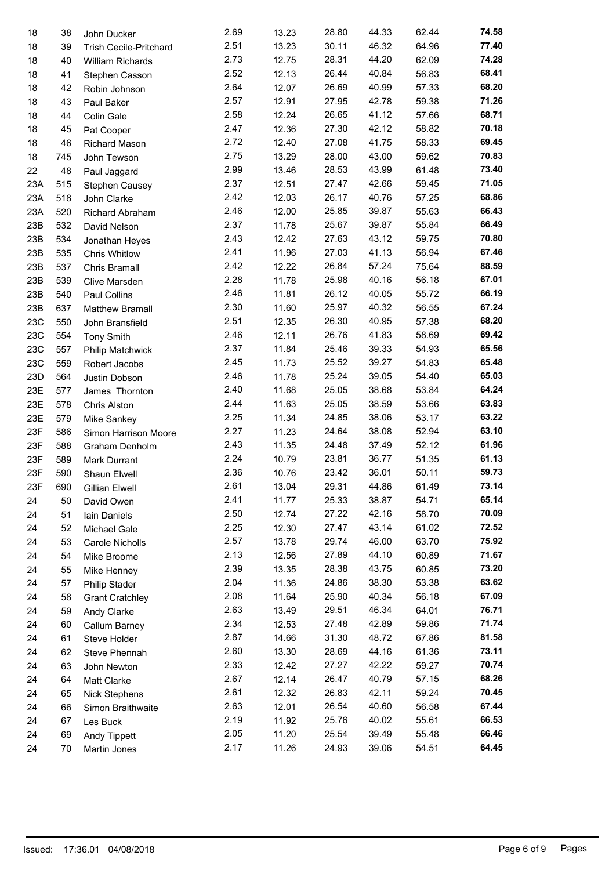| 18  | 38  | John Ducker            | 2.69 | 13.23 | 28.80 | 44.33 | 62.44 | 74.58 |
|-----|-----|------------------------|------|-------|-------|-------|-------|-------|
| 18  | 39  | Trish Cecile-Pritchard | 2.51 | 13.23 | 30.11 | 46.32 | 64.96 | 77.40 |
| 18  | 40  | William Richards       | 2.73 | 12.75 | 28.31 | 44.20 | 62.09 | 74.28 |
| 18  | 41  | Stephen Casson         | 2.52 | 12.13 | 26.44 | 40.84 | 56.83 | 68.41 |
| 18  | 42  | Robin Johnson          | 2.64 | 12.07 | 26.69 | 40.99 | 57.33 | 68.20 |
| 18  | 43  | Paul Baker             | 2.57 | 12.91 | 27.95 | 42.78 | 59.38 | 71.26 |
| 18  | 44  | Colin Gale             | 2.58 | 12.24 | 26.65 | 41.12 | 57.66 | 68.71 |
| 18  | 45  | Pat Cooper             | 2.47 | 12.36 | 27.30 | 42.12 | 58.82 | 70.18 |
| 18  | 46  | Richard Mason          | 2.72 | 12.40 | 27.08 | 41.75 | 58.33 | 69.45 |
| 18  | 745 | John Tewson            | 2.75 | 13.29 | 28.00 | 43.00 | 59.62 | 70.83 |
| 22  | 48  | Paul Jaggard           | 2.99 | 13.46 | 28.53 | 43.99 | 61.48 | 73.40 |
| 23A | 515 | Stephen Causey         | 2.37 | 12.51 | 27.47 | 42.66 | 59.45 | 71.05 |
| 23A | 518 | John Clarke            | 2.42 | 12.03 | 26.17 | 40.76 | 57.25 | 68.86 |
| 23A | 520 | Richard Abraham        | 2.46 | 12.00 | 25.85 | 39.87 | 55.63 | 66.43 |
| 23B | 532 | David Nelson           | 2.37 | 11.78 | 25.67 | 39.87 | 55.84 | 66.49 |
| 23B | 534 | Jonathan Heyes         | 2.43 | 12.42 | 27.63 | 43.12 | 59.75 | 70.80 |
| 23B | 535 | <b>Chris Whitlow</b>   | 2.41 | 11.96 | 27.03 | 41.13 | 56.94 | 67.46 |
| 23B | 537 | Chris Bramall          | 2.42 | 12.22 | 26.84 | 57.24 | 75.64 | 88.59 |
| 23B | 539 | Clive Marsden          | 2.28 | 11.78 | 25.98 | 40.16 | 56.18 | 67.01 |
| 23B | 540 | Paul Collins           | 2.46 | 11.81 | 26.12 | 40.05 | 55.72 | 66.19 |
| 23B | 637 | Matthew Bramall        | 2.30 | 11.60 | 25.97 | 40.32 | 56.55 | 67.24 |
| 23C | 550 | John Bransfield        | 2.51 | 12.35 | 26.30 | 40.95 | 57.38 | 68.20 |
| 23C | 554 | <b>Tony Smith</b>      | 2.46 | 12.11 | 26.76 | 41.83 | 58.69 | 69.42 |
| 23C | 557 | Philip Matchwick       | 2.37 | 11.84 | 25.46 | 39.33 | 54.93 | 65.56 |
| 23C | 559 | Robert Jacobs          | 2.45 | 11.73 | 25.52 | 39.27 | 54.83 | 65.48 |
| 23D | 564 | Justin Dobson          | 2.46 | 11.78 | 25.24 | 39.05 | 54.40 | 65.03 |
| 23E | 577 | James Thornton         | 2.40 | 11.68 | 25.05 | 38.68 | 53.84 | 64.24 |
| 23E | 578 | Chris Alston           | 2.44 | 11.63 | 25.05 | 38.59 | 53.66 | 63.83 |
| 23E | 579 | Mike Sankey            | 2.25 | 11.34 | 24.85 | 38.06 | 53.17 | 63.22 |
| 23F | 586 | Simon Harrison Moore   | 2.27 | 11.23 | 24.64 | 38.08 | 52.94 | 63.10 |
| 23F | 588 | Graham Denholm         | 2.43 | 11.35 | 24.48 | 37.49 | 52.12 | 61.96 |
| 23F | 589 | Mark Durrant           | 2.24 | 10.79 | 23.81 | 36.77 | 51.35 | 61.13 |
| 23F | 590 | Shaun Elwell           | 2.36 | 10.76 | 23.42 | 36.01 | 50.11 | 59.73 |
| 23F | 690 | Gillian Elwell         | 2.61 | 13.04 | 29.31 | 44.86 | 61.49 | 73.14 |
| 24  | 50  | David Owen             | 2.41 | 11.77 | 25.33 | 38.87 | 54.71 | 65.14 |
| 24  | 51  | Iain Daniels           | 2.50 | 12.74 | 27.22 | 42.16 | 58.70 | 70.09 |
| 24  | 52  | Michael Gale           | 2.25 | 12.30 | 27.47 | 43.14 | 61.02 | 72.52 |
| 24  | 53  | Carole Nicholls        | 2.57 | 13.78 | 29.74 | 46.00 | 63.70 | 75.92 |
| 24  | 54  | Mike Broome            | 2.13 | 12.56 | 27.89 | 44.10 | 60.89 | 71.67 |
| 24  | 55  | Mike Henney            | 2.39 | 13.35 | 28.38 | 43.75 | 60.85 | 73.20 |
| 24  | 57  | <b>Philip Stader</b>   | 2.04 | 11.36 | 24.86 | 38.30 | 53.38 | 63.62 |
| 24  | 58  | <b>Grant Cratchley</b> | 2.08 | 11.64 | 25.90 | 40.34 | 56.18 | 67.09 |
| 24  | 59  | Andy Clarke            | 2.63 | 13.49 | 29.51 | 46.34 | 64.01 | 76.71 |
| 24  | 60  | Callum Barney          | 2.34 | 12.53 | 27.48 | 42.89 | 59.86 | 71.74 |
| 24  | 61  | Steve Holder           | 2.87 | 14.66 | 31.30 | 48.72 | 67.86 | 81.58 |
| 24  | 62  | Steve Phennah          | 2.60 | 13.30 | 28.69 | 44.16 | 61.36 | 73.11 |
| 24  | 63  | John Newton            | 2.33 | 12.42 | 27.27 | 42.22 | 59.27 | 70.74 |
| 24  | 64  | Matt Clarke            | 2.67 | 12.14 | 26.47 | 40.79 | 57.15 | 68.26 |
| 24  | 65  | <b>Nick Stephens</b>   | 2.61 | 12.32 | 26.83 | 42.11 | 59.24 | 70.45 |
| 24  | 66  | Simon Braithwaite      | 2.63 | 12.01 | 26.54 | 40.60 | 56.58 | 67.44 |
| 24  | 67  | Les Buck               | 2.19 | 11.92 | 25.76 | 40.02 | 55.61 | 66.53 |
| 24  | 69  | Andy Tippett           | 2.05 | 11.20 | 25.54 | 39.49 | 55.48 | 66.46 |
| 24  | 70  | Martin Jones           | 2.17 | 11.26 | 24.93 | 39.06 | 54.51 | 64.45 |
|     |     |                        |      |       |       |       |       |       |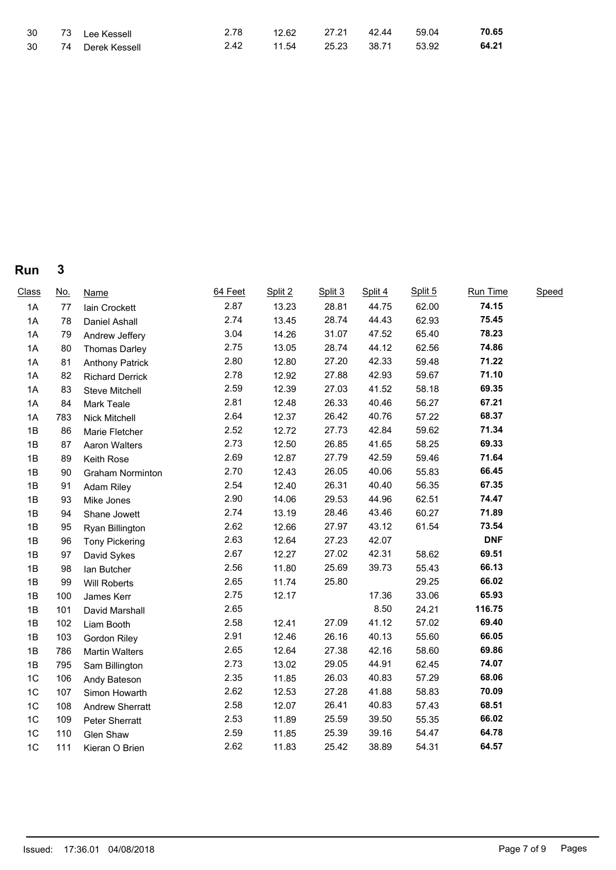| 30 | 73 Lee Kessell   | 2.78 | 12.62                   | 27.21  42.44   59.04 | 70.65 |
|----|------------------|------|-------------------------|----------------------|-------|
| 30 | 74 Derek Kessell | 2.42 | 11.54 25.23 38.71 53.92 |                      | 64.21 |

**Run 3**

| Class | <u>No.</u> | <b>Name</b>            | 64 Feet | Split 2 | Split 3 | Split 4 | Split 5 | Run Time   | Speed |
|-------|------------|------------------------|---------|---------|---------|---------|---------|------------|-------|
| 1A    | 77         | Iain Crockett          | 2.87    | 13.23   | 28.81   | 44.75   | 62.00   | 74.15      |       |
| 1A    | 78         | Daniel Ashall          | 2.74    | 13.45   | 28.74   | 44.43   | 62.93   | 75.45      |       |
| 1A    | 79         | Andrew Jeffery         | 3.04    | 14.26   | 31.07   | 47.52   | 65.40   | 78.23      |       |
| 1A    | 80         | <b>Thomas Darley</b>   | 2.75    | 13.05   | 28.74   | 44.12   | 62.56   | 74.86      |       |
| 1A    | 81         | <b>Anthony Patrick</b> | 2.80    | 12.80   | 27.20   | 42.33   | 59.48   | 71.22      |       |
| 1A    | 82         | <b>Richard Derrick</b> | 2.78    | 12.92   | 27.88   | 42.93   | 59.67   | 71.10      |       |
| 1A    | 83         | Steve Mitchell         | 2.59    | 12.39   | 27.03   | 41.52   | 58.18   | 69.35      |       |
| 1A    | 84         | Mark Teale             | 2.81    | 12.48   | 26.33   | 40.46   | 56.27   | 67.21      |       |
| 1A    | 783        | Nick Mitchell          | 2.64    | 12.37   | 26.42   | 40.76   | 57.22   | 68.37      |       |
| 1B    | 86         | Marie Fletcher         | 2.52    | 12.72   | 27.73   | 42.84   | 59.62   | 71.34      |       |
| 1B    | 87         | Aaron Walters          | 2.73    | 12.50   | 26.85   | 41.65   | 58.25   | 69.33      |       |
| 1B    | 89         | Keith Rose             | 2.69    | 12.87   | 27.79   | 42.59   | 59.46   | 71.64      |       |
| 1B    | 90         | Graham Norminton       | 2.70    | 12.43   | 26.05   | 40.06   | 55.83   | 66.45      |       |
| 1B    | 91         | Adam Riley             | 2.54    | 12.40   | 26.31   | 40.40   | 56.35   | 67.35      |       |
| 1B    | 93         | Mike Jones             | 2.90    | 14.06   | 29.53   | 44.96   | 62.51   | 74.47      |       |
| 1B    | 94         | Shane Jowett           | 2.74    | 13.19   | 28.46   | 43.46   | 60.27   | 71.89      |       |
| 1B    | 95         | Ryan Billington        | 2.62    | 12.66   | 27.97   | 43.12   | 61.54   | 73.54      |       |
| 1B    | 96         | <b>Tony Pickering</b>  | 2.63    | 12.64   | 27.23   | 42.07   |         | <b>DNF</b> |       |
| 1B    | 97         | David Sykes            | 2.67    | 12.27   | 27.02   | 42.31   | 58.62   | 69.51      |       |
| 1B    | 98         | lan Butcher            | 2.56    | 11.80   | 25.69   | 39.73   | 55.43   | 66.13      |       |
| 1B    | 99         | Will Roberts           | 2.65    | 11.74   | 25.80   |         | 29.25   | 66.02      |       |
| 1B    | 100        | James Kerr             | 2.75    | 12.17   |         | 17.36   | 33.06   | 65.93      |       |
| 1B    | 101        | David Marshall         | 2.65    |         |         | 8.50    | 24.21   | 116.75     |       |
| 1B    | 102        | Liam Booth             | 2.58    | 12.41   | 27.09   | 41.12   | 57.02   | 69.40      |       |
| 1B    | 103        | Gordon Riley           | 2.91    | 12.46   | 26.16   | 40.13   | 55.60   | 66.05      |       |
| 1B    | 786        | <b>Martin Walters</b>  | 2.65    | 12.64   | 27.38   | 42.16   | 58.60   | 69.86      |       |
| 1B    | 795        | Sam Billington         | 2.73    | 13.02   | 29.05   | 44.91   | 62.45   | 74.07      |       |
| 1C    | 106        | Andy Bateson           | 2.35    | 11.85   | 26.03   | 40.83   | 57.29   | 68.06      |       |
| 1C    | 107        | Simon Howarth          | 2.62    | 12.53   | 27.28   | 41.88   | 58.83   | 70.09      |       |
| 1C    | 108        | Andrew Sherratt        | 2.58    | 12.07   | 26.41   | 40.83   | 57.43   | 68.51      |       |
| 1C    | 109        | Peter Sherratt         | 2.53    | 11.89   | 25.59   | 39.50   | 55.35   | 66.02      |       |
| 1C    | 110        | Glen Shaw              | 2.59    | 11.85   | 25.39   | 39.16   | 54.47   | 64.78      |       |
| 1C    | 111        | Kieran O Brien         | 2.62    | 11.83   | 25.42   | 38.89   | 54.31   | 64.57      |       |
|       |            |                        |         |         |         |         |         |            |       |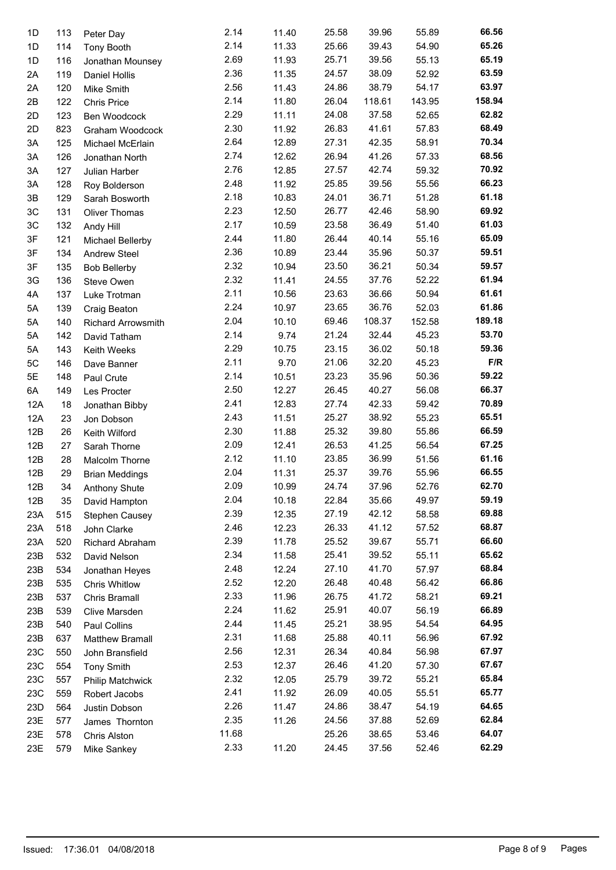| 1D  | 113 | Peter Day                 | 2.14  | 11.40 | 25.58 | 39.96  | 55.89  | 66.56  |
|-----|-----|---------------------------|-------|-------|-------|--------|--------|--------|
| 1D  | 114 | Tony Booth                | 2.14  | 11.33 | 25.66 | 39.43  | 54.90  | 65.26  |
| 1D  | 116 | Jonathan Mounsey          | 2.69  | 11.93 | 25.71 | 39.56  | 55.13  | 65.19  |
| 2A  | 119 | Daniel Hollis             | 2.36  | 11.35 | 24.57 | 38.09  | 52.92  | 63.59  |
| 2A  | 120 | Mike Smith                | 2.56  | 11.43 | 24.86 | 38.79  | 54.17  | 63.97  |
| 2B  | 122 | Chris Price               | 2.14  | 11.80 | 26.04 | 118.61 | 143.95 | 158.94 |
| 2D  | 123 | Ben Woodcock              | 2.29  | 11.11 | 24.08 | 37.58  | 52.65  | 62.82  |
| 2D  | 823 | Graham Woodcock           | 2.30  | 11.92 | 26.83 | 41.61  | 57.83  | 68.49  |
| 3A  | 125 | Michael McErlain          | 2.64  | 12.89 | 27.31 | 42.35  | 58.91  | 70.34  |
| 3A  | 126 | Jonathan North            | 2.74  | 12.62 | 26.94 | 41.26  | 57.33  | 68.56  |
| ЗA  | 127 | Julian Harber             | 2.76  | 12.85 | 27.57 | 42.74  | 59.32  | 70.92  |
| ЗA  | 128 | Roy Bolderson             | 2.48  | 11.92 | 25.85 | 39.56  | 55.56  | 66.23  |
| 3B  | 129 | Sarah Bosworth            | 2.18  | 10.83 | 24.01 | 36.71  | 51.28  | 61.18  |
| 3C  | 131 | Oliver Thomas             | 2.23  | 12.50 | 26.77 | 42.46  | 58.90  | 69.92  |
| 3C  | 132 |                           | 2.17  | 10.59 | 23.58 | 36.49  | 51.40  | 61.03  |
| 3F  | 121 | Andy Hill                 | 2.44  | 11.80 | 26.44 | 40.14  | 55.16  | 65.09  |
|     |     | Michael Bellerby          | 2.36  | 10.89 | 23.44 | 35.96  | 50.37  | 59.51  |
| 3F  | 134 | Andrew Steel              |       |       |       |        |        | 59.57  |
| 3F  | 135 | <b>Bob Bellerby</b>       | 2.32  | 10.94 | 23.50 | 36.21  | 50.34  |        |
| 3G  | 136 | Steve Owen                | 2.32  | 11.41 | 24.55 | 37.76  | 52.22  | 61.94  |
| 4A  | 137 | Luke Trotman              | 2.11  | 10.56 | 23.63 | 36.66  | 50.94  | 61.61  |
| 5A  | 139 | Craig Beaton              | 2.24  | 10.97 | 23.65 | 36.76  | 52.03  | 61.86  |
| 5A  | 140 | <b>Richard Arrowsmith</b> | 2.04  | 10.10 | 69.46 | 108.37 | 152.58 | 189.18 |
| 5A  | 142 | David Tatham              | 2.14  | 9.74  | 21.24 | 32.44  | 45.23  | 53.70  |
| 5A  | 143 | Keith Weeks               | 2.29  | 10.75 | 23.15 | 36.02  | 50.18  | 59.36  |
| 5C  | 146 | Dave Banner               | 2.11  | 9.70  | 21.06 | 32.20  | 45.23  | F/R    |
| 5E  | 148 | Paul Crute                | 2.14  | 10.51 | 23.23 | 35.96  | 50.36  | 59.22  |
| 6A  | 149 | Les Procter               | 2.50  | 12.27 | 26.45 | 40.27  | 56.08  | 66.37  |
| 12A | 18  | Jonathan Bibby            | 2.41  | 12.83 | 27.74 | 42.33  | 59.42  | 70.89  |
| 12A | 23  | Jon Dobson                | 2.43  | 11.51 | 25.27 | 38.92  | 55.23  | 65.51  |
| 12B | 26  | Keith Wilford             | 2.30  | 11.88 | 25.32 | 39.80  | 55.86  | 66.59  |
| 12B | 27  | Sarah Thorne              | 2.09  | 12.41 | 26.53 | 41.25  | 56.54  | 67.25  |
| 12B | 28  | Malcolm Thorne            | 2.12  | 11.10 | 23.85 | 36.99  | 51.56  | 61.16  |
| 12B | 29  | <b>Brian Meddings</b>     | 2.04  | 11.31 | 25.37 | 39.76  | 55.96  | 66.55  |
| 12B | 34  | Anthony Shute             | 2.09  | 10.99 | 24.74 | 37.96  | 52.76  | 62.70  |
| 12B | 35  | David Hampton             | 2.04  | 10.18 | 22.84 | 35.66  | 49.97  | 59.19  |
| 23A | 515 | Stephen Causey            | 2.39  | 12.35 | 27.19 | 42.12  | 58.58  | 69.88  |
| 23A | 518 | John Clarke               | 2.46  | 12.23 | 26.33 | 41.12  | 57.52  | 68.87  |
| 23A | 520 | Richard Abraham           | 2.39  | 11.78 | 25.52 | 39.67  | 55.71  | 66.60  |
| 23B | 532 |                           | 2.34  | 11.58 | 25.41 | 39.52  | 55.11  | 65.62  |
| 23B |     | David Nelson              | 2.48  | 12.24 | 27.10 | 41.70  | 57.97  | 68.84  |
|     | 534 | Jonathan Heyes            | 2.52  |       | 26.48 | 40.48  | 56.42  | 66.86  |
| 23B | 535 | Chris Whitlow             |       | 12.20 |       |        |        | 69.21  |
| 23B | 537 | Chris Bramall             | 2.33  | 11.96 | 26.75 | 41.72  | 58.21  |        |
| 23B | 539 | Clive Marsden             | 2.24  | 11.62 | 25.91 | 40.07  | 56.19  | 66.89  |
| 23B | 540 | Paul Collins              | 2.44  | 11.45 | 25.21 | 38.95  | 54.54  | 64.95  |
| 23B | 637 | Matthew Bramall           | 2.31  | 11.68 | 25.88 | 40.11  | 56.96  | 67.92  |
| 23C | 550 | John Bransfield           | 2.56  | 12.31 | 26.34 | 40.84  | 56.98  | 67.97  |
| 23C | 554 | <b>Tony Smith</b>         | 2.53  | 12.37 | 26.46 | 41.20  | 57.30  | 67.67  |
| 23C | 557 | <b>Philip Matchwick</b>   | 2.32  | 12.05 | 25.79 | 39.72  | 55.21  | 65.84  |
| 23C | 559 | Robert Jacobs             | 2.41  | 11.92 | 26.09 | 40.05  | 55.51  | 65.77  |
| 23D | 564 | Justin Dobson             | 2.26  | 11.47 | 24.86 | 38.47  | 54.19  | 64.65  |
| 23E | 577 | James Thornton            | 2.35  | 11.26 | 24.56 | 37.88  | 52.69  | 62.84  |
| 23E | 578 | Chris Alston              | 11.68 |       | 25.26 | 38.65  | 53.46  | 64.07  |
| 23E | 579 | Mike Sankey               | 2.33  | 11.20 | 24.45 | 37.56  | 52.46  | 62.29  |
|     |     |                           |       |       |       |        |        |        |